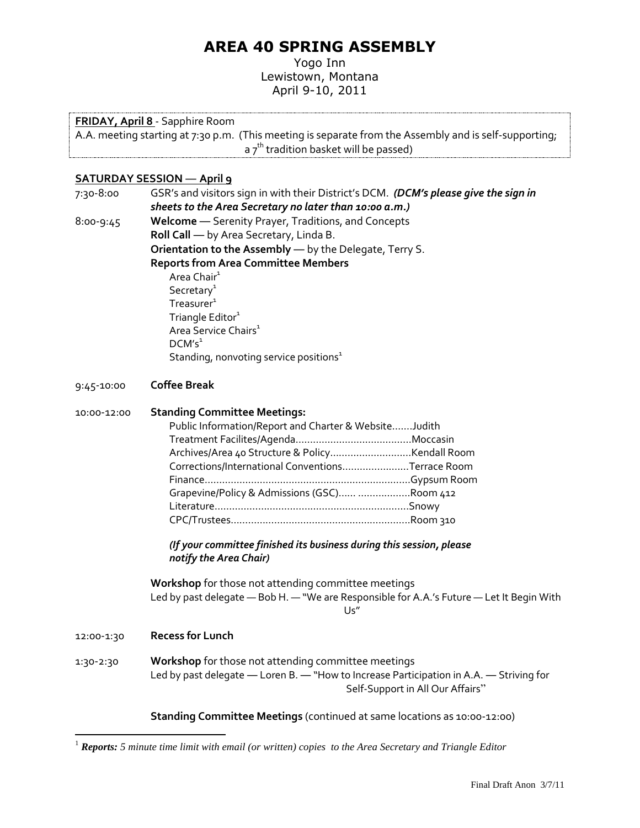# **AREA 40 SPRING ASSEMBLY**

Yogo Inn Lewistown, Montana April 9-10, 2011

#### **FRIDAY, April 8** - Sapphire Room

A.A. meeting starting at 7:30 p.m. (This meeting is separate from the Assembly and is self-supporting; a  $7<sup>th</sup>$  tradition basket will be passed)

#### **SATURDAY SESSION ― April 9**

<span id="page-0-0"></span>7:30-8:00 GSR's and visitors sign in with their District's DCM. *(DCM's please give the sign in sheets to the Area Secretary no later than 10:00 a.m.)* 8:00-9:45 **Welcome** ― Serenity Prayer, Traditions, and Concepts **Roll Call** ― by Area Secretary, Linda B. **Orientation to the Assembly** ― by the Delegate, Terry S. **Reports from Area Committee Members** Area Chair<sup>1</sup>  $S$ ecretar $v^1$  $T$ [r](#page-0-0)easurer $1$ T[r](#page-0-0)iangle Editor<sup>1</sup> Area Service Chair[s](#page-0-0)<sup>1</sup>  $DCM's<sup>1</sup>$  $DCM's<sup>1</sup>$  $DCM's<sup>1</sup>$ Standing, nonvoting [s](#page-0-0)ervice positions $1$ 

#### 9:45-10:00 **Coffee Break**

## 10:00-12:00 **Standing Committee Meetings:** Public Information/Report and Charter & Website…….Judith Treatment Facilites/Agenda…………………………….……Moccasin Archives/Area 40 Structure & Policy………………….……Kendall Room Corrections/International Conventions…………….….…Terrace Room Finance……………………………………………………….….…Gypsum Room Grapevine/Policy & Admissions (GSC)…… ………………Room 412 Literature………………………………………………………….Snowy

*(If your committee finished its business during this session, please notify the Area Chair)*

CPC/Trustees……………………………………………………..Room 310

**Workshop** for those not attending committee meetings Led by past delegate — Bob H. — "We are Responsible for A.A.'s Future — Let It Begin With Us"

12:00-1:30 **Recess for Lunch**

 $\overline{a}$ 

1:30-2:30 **Workshop** for those not attending committee meetings Led by past delegate ― Loren B. ― "How to Increase Participation in A.A. ― Striving for Self-Support in All Our Affairs"

**Standing Committee Meetings** (continued at same locations as 10:00-12:00)

<sup>1</sup> *Reports: 5 minute time limit with email (or written) copies to the Area Secretary and Triangle Editor*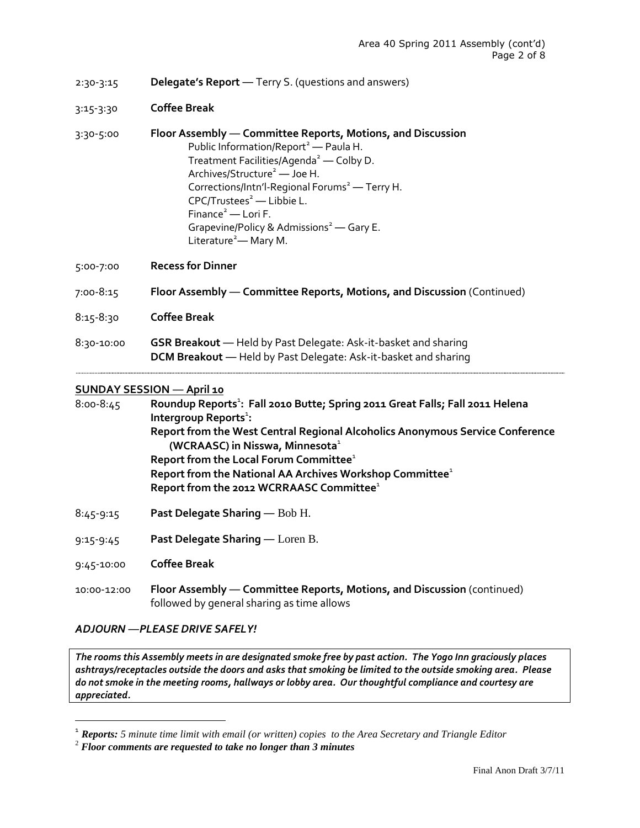- 2:30-3:15 **Delegate's Report** ― Terry S. (questions and answers)
- 3:15-3:30 **Coffee Break**
- <span id="page-1-0"></span>3:30-5:00 **Floor Assembly** ― **Committee Reports, Motions, and Discussion** Public Information/Report<sup>[2](#page-1-0)</sup> — Paula H. Treatment Facilities/Agenda<sup>[2](#page-1-0)</sup> — Colby D. Archives/Structure<sup>2</sup> — Joe H. Correction[s](#page-1-0)/Intn'l-Regional Forums<sup>2</sup> — Terry H. CPC/Tru[s](#page-1-0)tees<sup>2</sup> — Libbie L. Finance<sup>[2](#page-1-0)</sup> — Lori F. Grapevine/Policy & Admi[s](#page-1-0)sions<sup>2</sup> — Gary E. Lit[e](#page-1-0)rature<sup>2</sup>— Mary M.
- 5:00-7:00 **Recess for Dinner**
- 7:00-8:15 **Floor Assembly** ― **Committee Reports, Motions, and Discussion** (Continued)
- 8:15-8:30 **Coffee Break**
- 8:30-10:00 **GSR Breakout** ― Held by Past Delegate: Ask-it-basket and sharing **DCM Breakout** ― Held by Past Delegate: Ask-it-basket and sharing

## **SUNDAY SESSION ― April 10**

| $8:00 - 8:45$ | Roundup Reports <sup>1</sup> : Fall 2010 Butte; Spring 2011 Great Falls; Fall 2011 Helena                                    |
|---------------|------------------------------------------------------------------------------------------------------------------------------|
|               | Intergroup Reports <sup>1</sup> :                                                                                            |
|               | Report from the West Central Regional Alcoholics Anonymous Service Conference<br>(WCRAASC) in Nisswa, Minnesota <sup>1</sup> |
|               | Report from the Local Forum Committee <sup>1</sup>                                                                           |
|               | Report from the National AA Archives Workshop Committee <sup>1</sup>                                                         |
|               | Report from the 2012 WCRRAASC Committee <sup>1</sup>                                                                         |
|               |                                                                                                                              |

- 8:45-9:15 **Past Delegate Sharing** ― Bob H.
- 9:15-9:45 **Past Delegate Sharing** ― Loren B.
- 9:45-10:00 **Coffee Break**

 $\overline{a}$ 

10:00-12:00 **Floor Assembly** ― **Committee Reports, Motions, and Discussion** (continued) followed by general sharing as time allows

#### *ADJOURN ―PLEASE DRIVE SAFELY!*

*The rooms this Assembly meets in are designated smoke free by past action. The Yogo Inn graciously places ashtrays/receptacles outside the doors and asks that smoking be limited to the outside smoking area. Please do not smoke in the meeting rooms, hallways or lobby area. Our thoughtful compliance and courtesy are appreciated.*

[<sup>1</sup>](#page-0-0) *Reports: 5 minute time limit with email (or written) copies to the Area Secretary and Triangle Editor*

<sup>2</sup> *Floor comments are requested to take no longer than 3 minutes*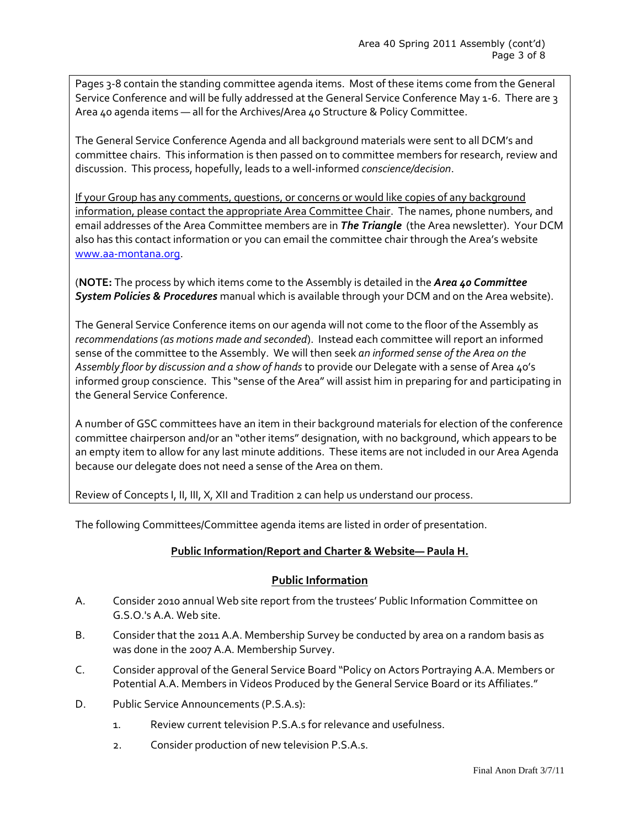Pages 3-8 contain the standing committee agenda items. Most of these items come from the General Service Conference and will be fully addressed at the General Service Conference May 1-6. There are 3 Area 40 agenda items ― all for the Archives/Area 40 Structure & Policy Committee.

The General Service Conference Agenda and all background materials were sent to all DCM's and committee chairs. This information is then passed on to committee members for research, review and discussion. This process, hopefully, leads to a well-informed *conscience/decision*.

If your Group has any comments, questions, or concerns or would like copies of any background information, please contact the appropriate Area Committee Chair. The names, phone numbers, and email addresses of the Area Committee members are in *The Triangle* (the Area newsletter). Your DCM also has this contact information or you can email the committee chair through the Area's website [www.aa-montana.org.](http://www.aa-montana.org/)

(**NOTE:** The process by which items come to the Assembly is detailed in the *Area 40 Committee System Policies & Procedures* manual which is available through your DCM and on the Area website).

The General Service Conference items on our agenda will not come to the floor of the Assembly as *recommendations (as motions made and seconded*). Instead each committee will report an informed sense of the committee to the Assembly. We will then seek *an informed sense of the Area on the Assembly floor by discussion and a show of hands* to provide our Delegate with a sense of Area 40's informed group conscience. This "sense of the Area" will assist him in preparing for and participating in the General Service Conference.

A number of GSC committees have an item in their background materials for election of the conference committee chairperson and/or an "other items" designation, with no background, which appears to be an empty item to allow for any last minute additions. These items are not included in our Area Agenda because our delegate does not need a sense of the Area on them.

Review of Concepts I, II, III, X, XII and Tradition 2 can help us understand our process.

The following Committees/Committee agenda items are listed in order of presentation.

#### **Public Information/Report and Charter & Website― Paula H.**

## **Public Information**

- A. Consider 2010 annual Web site report from the trustees' Public Information Committee on G.S.O.'s A.A. Web site.
- B. Consider that the 2011 A.A. Membership Survey be conducted by area on a random basis as was done in the 2007 A.A. Membership Survey.
- C. Consider approval of the General Service Board "Policy on Actors Portraying A.A. Members or Potential A.A. Members in Videos Produced by the General Service Board or its Affiliates."
- D. Public Service Announcements (P.S.A.s):
	- 1. Review current television P.S.A.s for relevance and usefulness.
	- 2. Consider production of new television P.S.A.s.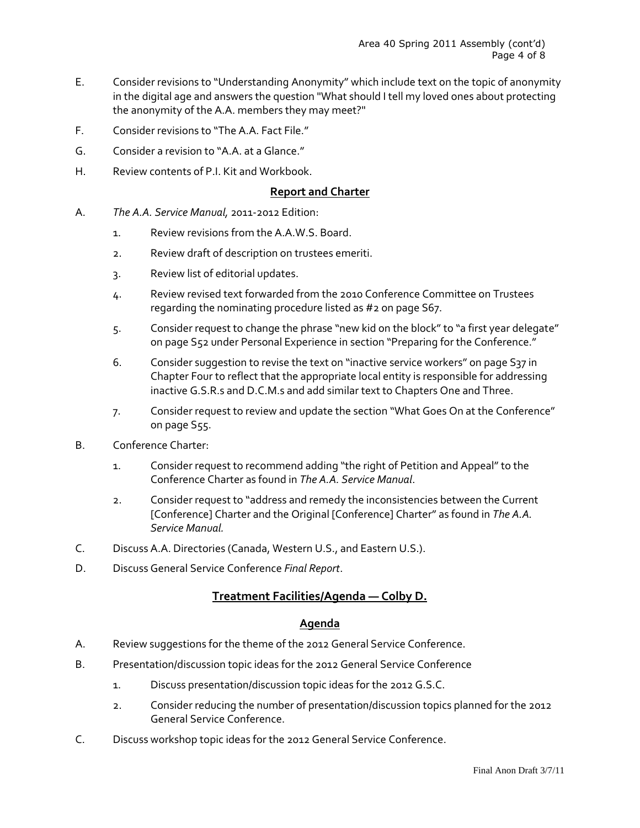- E. Consider revisions to "Understanding Anonymity" which include text on the topic of anonymity in the digital age and answers the question "What should I tell my loved ones about protecting the anonymity of the A.A. members they may meet?"
- F. Consider revisions to "The A.A. Fact File."
- G. Consider a revision to "A.A. at a Glance."
- H. Review contents of P.I. Kit and Workbook.

## **Report and Charter**

- A. *The A.A. Service Manual,* 2011-2012 Edition:
	- 1. Review revisions from the A.A.W.S. Board.
	- 2. Review draft of description on trustees emeriti.
	- 3. Review list of editorial updates.
	- 4. Review revised text forwarded from the 2010 Conference Committee on Trustees regarding the nominating procedure listed as #2 on page S67.
	- 5. Consider request to change the phrase "new kid on the block" to "a first year delegate" on page S52 under Personal Experience in section "Preparing for the Conference."
	- 6. Consider suggestion to revise the text on "inactive service workers" on page S37 in Chapter Four to reflect that the appropriate local entity is responsible for addressing inactive G.S.R.s and D.C.M.s and add similar text to Chapters One and Three.
	- 7. Consider request to review and update the section "What Goes On at the Conference" on page S55.
- B. Conference Charter:
	- 1. Consider request to recommend adding "the right of Petition and Appeal" to the Conference Charter as found in *The A.A. Service Manual*.
	- 2. Consider request to "address and remedy the inconsistencies between the Current [Conference] Charter and the Original [Conference] Charter" as found in *The A.A. Service Manual.*
- C. Discuss A.A. Directories (Canada, Western U.S., and Eastern U.S.).
- D. Discuss General Service Conference *Final Report*.

# **Treatment Facilities/Agenda ― Colby D.**

#### **Agenda**

- A. Review suggestions for the theme of the 2012 General Service Conference.
- B. Presentation/discussion topic ideas for the 2012 General Service Conference
	- 1. Discuss presentation/discussion topic ideas for the 2012 G.S.C.
	- 2. Consider reducing the number of presentation/discussion topics planned for the 2012 General Service Conference.
- C. Discuss workshop topic ideas for the 2012 General Service Conference.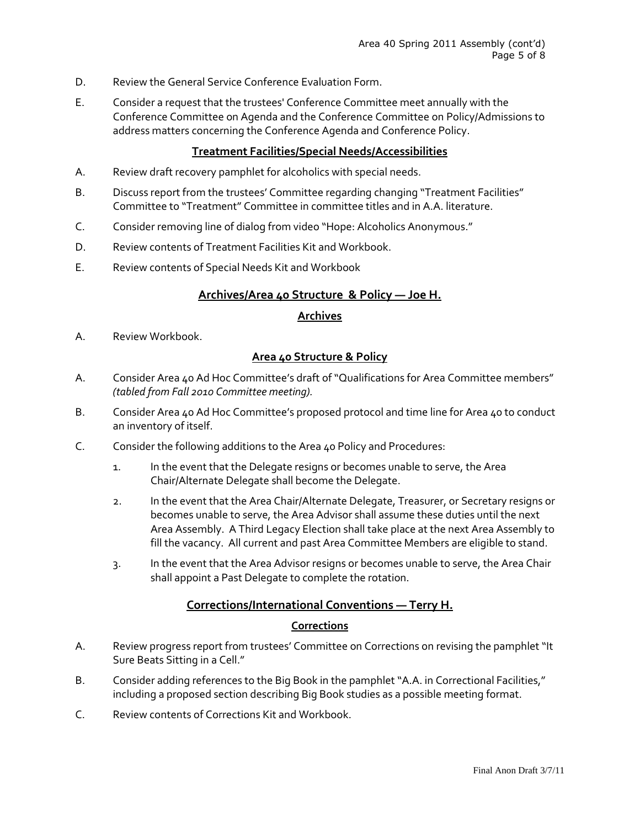- D. Review the General Service Conference Evaluation Form.
- E. Consider a request that the trustees' Conference Committee meet annually with the Conference Committee on Agenda and the Conference Committee on Policy/Admissions to address matters concerning the Conference Agenda and Conference Policy.

## **Treatment Facilities/Special Needs/Accessibilities**

- A. Review draft recovery pamphlet for alcoholics with special needs.
- B. Discuss report from the trustees' Committee regarding changing "Treatment Facilities" Committee to "Treatment" Committee in committee titles and in A.A. literature.
- C. Consider removing line of dialog from video "Hope: Alcoholics Anonymous."
- D. Review contents of Treatment Facilities Kit and Workbook.
- E. Review contents of Special Needs Kit and Workbook

## **Archives/Area 40 Structure & Policy ― Joe H.**

## **Archives**

A. Review Workbook.

# **Area 40 Structure & Policy**

- A. Consider Area 40 Ad Hoc Committee's draft of "Qualifications for Area Committee members" *(tabled from Fall 2010 Committee meeting).*
- B. Consider Area 40 Ad Hoc Committee's proposed protocol and time line for Area 40 to conduct an inventory of itself.
- C. Consider the following additions to the Area 40 Policy and Procedures:
	- 1. In the event that the Delegate resigns or becomes unable to serve, the Area Chair/Alternate Delegate shall become the Delegate.
	- 2. In the event that the Area Chair/Alternate Delegate, Treasurer, or Secretary resigns or becomes unable to serve, the Area Advisor shall assume these duties until the next Area Assembly. A Third Legacy Election shall take place at the next Area Assembly to fill the vacancy. All current and past Area Committee Members are eligible to stand.
	- 3. In the event that the Area Advisor resigns or becomes unable to serve, the Area Chair shall appoint a Past Delegate to complete the rotation.

# **Corrections/International Conventions ― Terry H.**

#### **Corrections**

- A. Review progress report from trustees' Committee on Corrections on revising the pamphlet "It Sure Beats Sitting in a Cell."
- B. Consider adding references to the Big Book in the pamphlet "A.A. in Correctional Facilities," including a proposed section describing Big Book studies as a possible meeting format.
- C. Review contents of Corrections Kit and Workbook.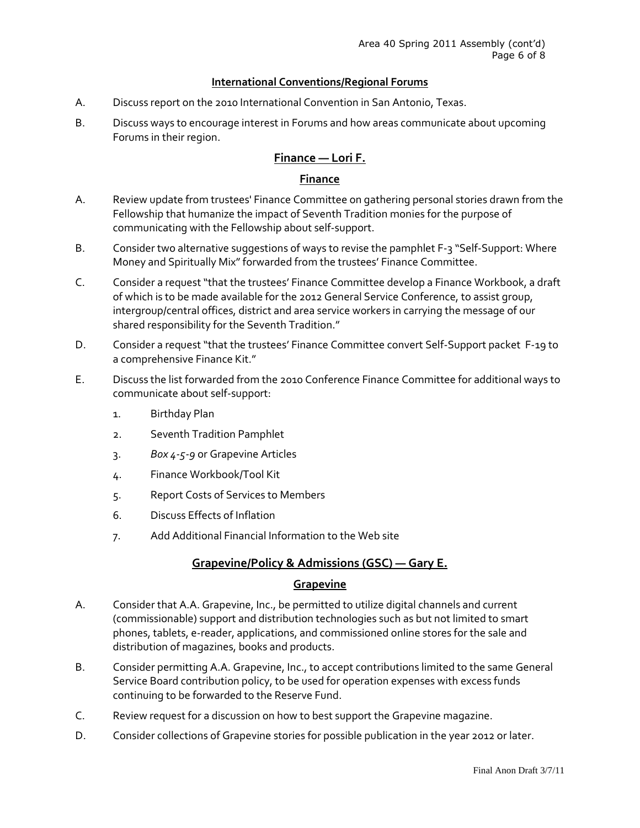## **International Conventions/Regional Forums**

- A. Discuss report on the 2010 International Convention in San Antonio, Texas.
- B. Discuss ways to encourage interest in Forums and how areas communicate about upcoming Forums in their region.

# **Finance ― Lori F.**

## **Finance**

- A. Review update from trustees' Finance Committee on gathering personal stories drawn from the Fellowship that humanize the impact of Seventh Tradition monies for the purpose of communicating with the Fellowship about self-support.
- B. Consider two alternative suggestions of ways to revise the pamphlet F-3 "Self-Support: Where Money and Spiritually Mix" forwarded from the trustees' Finance Committee.
- C. Consider a request "that the trustees' Finance Committee develop a Finance Workbook, a draft of which is to be made available for the 2012 General Service Conference, to assist group, intergroup/central offices, district and area service workers in carrying the message of our shared responsibility for the Seventh Tradition."
- D. Consider a request "that the trustees' Finance Committee convert Self-Support packet F-19 to a comprehensive Finance Kit."
- E. Discuss the list forwarded from the 2010 Conference Finance Committee for additional ways to communicate about self-support:
	- 1. Birthday Plan
	- 2. Seventh Tradition Pamphlet
	- 3. *Box 4-5-9* or Grapevine Articles
	- 4. Finance Workbook/Tool Kit
	- 5. Report Costs of Services to Members
	- 6. Discuss Effects of Inflation
	- 7. Add Additional Financial Information to the Web site

# **Grapevine/Policy & Admissions (GSC) ― Gary E.**

## **Grapevine**

- A. Consider that A.A. Grapevine, Inc., be permitted to utilize digital channels and current (commissionable) support and distribution technologies such as but not limited to smart phones, tablets, e-reader, applications, and commissioned online stores for the sale and distribution of magazines, books and products.
- B. Consider permitting A.A. Grapevine, Inc., to accept contributions limited to the same General Service Board contribution policy, to be used for operation expenses with excess funds continuing to be forwarded to the Reserve Fund.
- C. Review request for a discussion on how to best support the Grapevine magazine.
- D. Consider collections of Grapevine stories for possible publication in the year 2012 or later.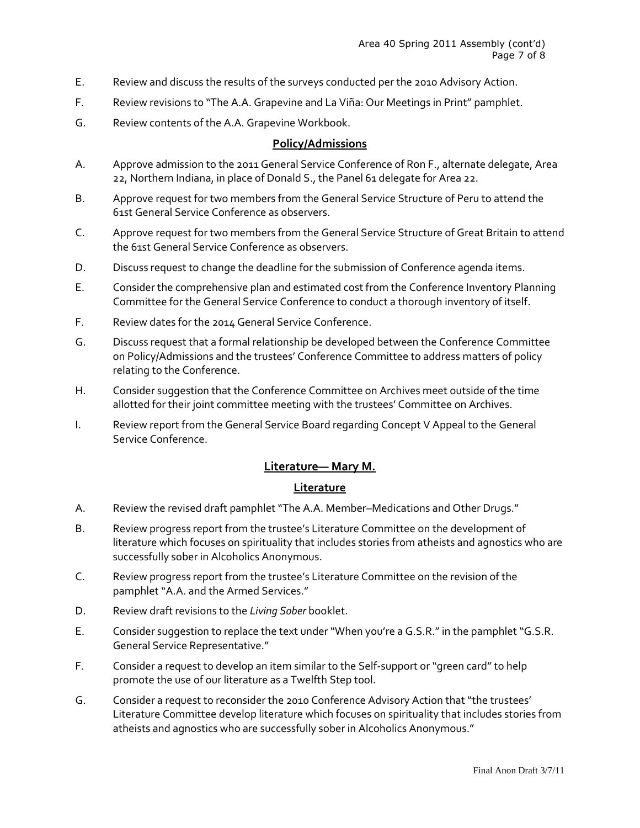- E. Review and discuss the results of the surveys conducted per the 2010 Advisory Action.
- F. Review revisions to "The A.A. Grapevine and La Viña: Our Meetings in Print" pamphlet.
- G. Review contents of the A.A. Grapevine Workbook.

# **Policy/Admissions**

- A. Approve admission to the 2011 General Service Conference of Ron F., alternate delegate, Area 22, Northern Indiana, in place of Donald S., the Panel 61 delegate for Area 22.
- B. Approve request for two members from the General Service Structure of Peru to attend the 61st General Service Conference as observers.
- C. Approve request for two members from the General Service Structure of Great Britain to attend the 61st General Service Conference as observers.
- D. Discuss request to change the deadline for the submission of Conference agenda items.
- E. Consider the comprehensive plan and estimated cost from the Conference Inventory Planning Committee for the General Service Conference to conduct a thorough inventory of itself.
- F. Review dates for the 2014 General Service Conference.
- G. Discuss request that a formal relationship be developed between the Conference Committee on Policy/Admissions and the trustees' Conference Committee to address matters of policy relating to the Conference.
- H. Consider suggestion that the Conference Committee on Archives meet outside of the time allotted for their joint committee meeting with the trustees' Committee on Archives.
- I. Review report from the General Service Board regarding Concept V Appeal to the General Service Conference.

# **Literature― Mary M.**

# **Literature**

- A. Review the revised draft pamphlet "The A.A. Member–Medications and Other Drugs."
- B. Review progress report from the trustee's Literature Committee on the development of literature which focuses on spirituality that includes stories from atheists and agnostics who are successfully sober in Alcoholics Anonymous.
- C. Review progress report from the trustee's Literature Committee on the revision of the pamphlet "A.A. and the Armed Services."
- D. Review draft revisions to the *Living Sober* booklet.
- E. Consider suggestion to replace the text under "When you're a G.S.R." in the pamphlet "G.S.R. General Service Representative."
- F. Consider a request to develop an item similar to the Self-support or "green card" to help promote the use of our literature as a Twelfth Step tool.
- G. Consider a request to reconsider the 2010 Conference Advisory Action that "the trustees' Literature Committee develop literature which focuses on spirituality that includes stories from atheists and agnostics who are successfully sober in Alcoholics Anonymous."